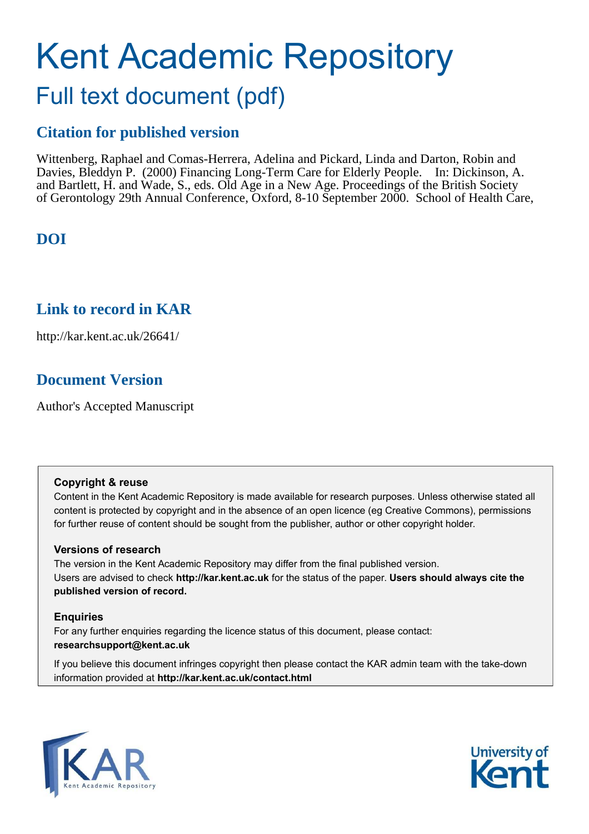# Kent Academic Repository

# Full text document (pdf)

# **Citation for published version**

Wittenberg, Raphael and Comas-Herrera, Adelina and Pickard, Linda and Darton, Robin and Davies, Bleddyn P. (2000) Financing Long-Term Care for Elderly People. In: Dickinson, A. and Bartlett, H. and Wade, S., eds. Old Age in a New Age. Proceedings of the British Society of Gerontology 29th Annual Conference, Oxford, 8-10 September 2000. School of Health Care,

# **DOI**

## **Link to record in KAR**

http://kar.kent.ac.uk/26641/

## **Document Version**

Author's Accepted Manuscript

#### **Copyright & reuse**

Content in the Kent Academic Repository is made available for research purposes. Unless otherwise stated all content is protected by copyright and in the absence of an open licence (eg Creative Commons), permissions for further reuse of content should be sought from the publisher, author or other copyright holder.

#### **Versions of research**

The version in the Kent Academic Repository may differ from the final published version. Users are advised to check **http://kar.kent.ac.uk** for the status of the paper. **Users should always cite the published version of record.**

#### **Enquiries**

For any further enquiries regarding the licence status of this document, please contact: **researchsupport@kent.ac.uk**

If you believe this document infringes copyright then please contact the KAR admin team with the take-down information provided at **http://kar.kent.ac.uk/contact.html**



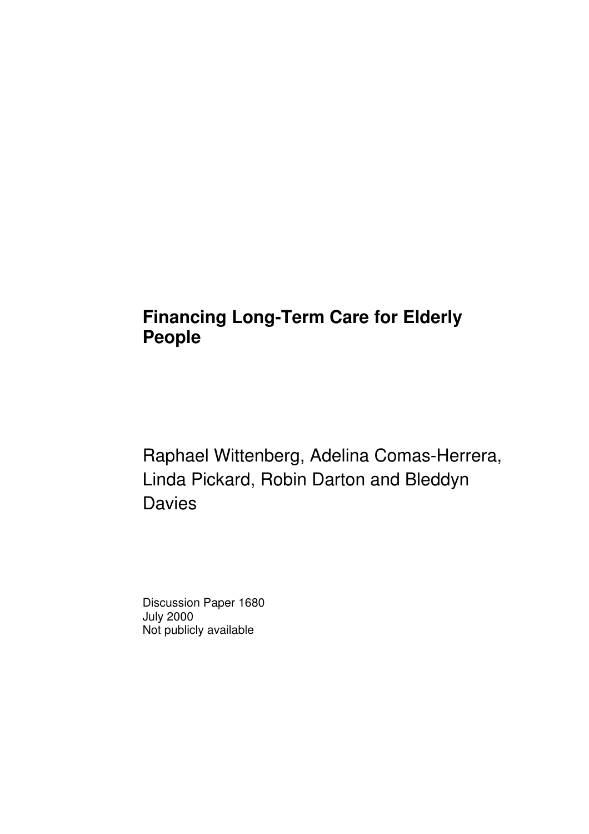# **Financing Long-Term Care for Elderly People**

Raphael Wittenberg, Adelina Comas-Herrera, Linda Pickard, Robin Darton and Bleddyn **Davies** 

Discussion Paper 1680 July 2000 Not publicly available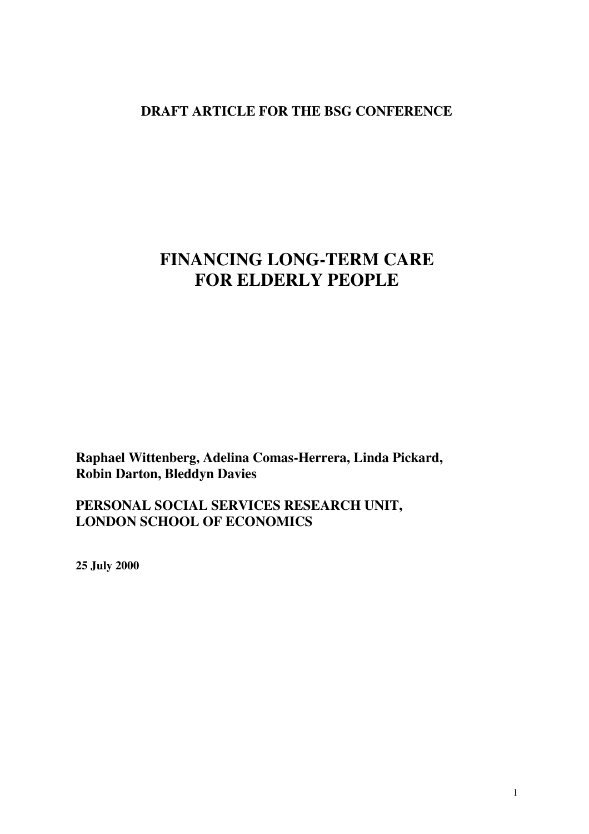#### **DRAFT ARTICLE FOR THE BSG CONFERENCE**

# **FINANCING LONG-TERM CARE FOR ELDERLY PEOPLE**

**Raphael Wittenberg, Adelina Comas-Herrera, Linda Pickard, Robin Darton, Bleddyn Davies**

**PERSONAL SOCIAL SERVICES RESEARCH UNIT, LONDON SCHOOL OF ECONOMICS**

**25 July 2000**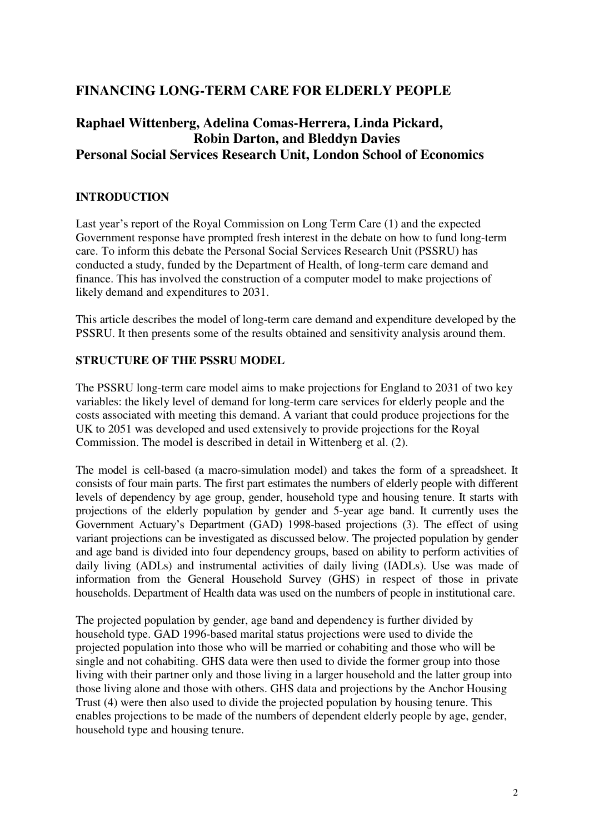#### **FINANCING LONG-TERM CARE FOR ELDERLY PEOPLE**

#### **Raphael Wittenberg, Adelina Comas-Herrera, Linda Pickard, Robin Darton, and Bleddyn Davies Personal Social Services Research Unit, London School of Economics**

#### **INTRODUCTION**

Last year's report of the Royal Commission on Long Term Care (1) and the expected Government response have prompted fresh interest in the debate on how to fund long-term care. To inform this debate the Personal Social Services Research Unit (PSSRU) has conducted a study, funded by the Department of Health, of long-term care demand and finance. This has involved the construction of a computer model to make projections of likely demand and expenditures to 2031.

This article describes the model of long-term care demand and expenditure developed by the PSSRU. It then presents some of the results obtained and sensitivity analysis around them.

#### **STRUCTURE OF THE PSSRU MODEL**

The PSSRU long-term care model aims to make projections for England to 2031 of two key variables: the likely level of demand for long-term care services for elderly people and the costs associated with meeting this demand. A variant that could produce projections for the UK to 2051 was developed and used extensively to provide projections for the Royal Commission. The model is described in detail in Wittenberg et al. (2).

The model is cell-based (a macro-simulation model) and takes the form of a spreadsheet. It consists of four main parts. The first part estimates the numbers of elderly people with different levels of dependency by age group, gender, household type and housing tenure. It starts with projections of the elderly population by gender and 5-year age band. It currently uses the Government Actuary's Department (GAD) 1998-based projections (3). The effect of using variant projections can be investigated as discussed below. The projected population by gender and age band is divided into four dependency groups, based on ability to perform activities of daily living (ADLs) and instrumental activities of daily living (IADLs). Use was made of information from the General Household Survey (GHS) in respect of those in private households. Department of Health data was used on the numbers of people in institutional care.

The projected population by gender, age band and dependency is further divided by household type. GAD 1996-based marital status projections were used to divide the projected population into those who will be married or cohabiting and those who will be single and not cohabiting. GHS data were then used to divide the former group into those living with their partner only and those living in a larger household and the latter group into those living alone and those with others. GHS data and projections by the Anchor Housing Trust (4) were then also used to divide the projected population by housing tenure. This enables projections to be made of the numbers of dependent elderly people by age, gender, household type and housing tenure.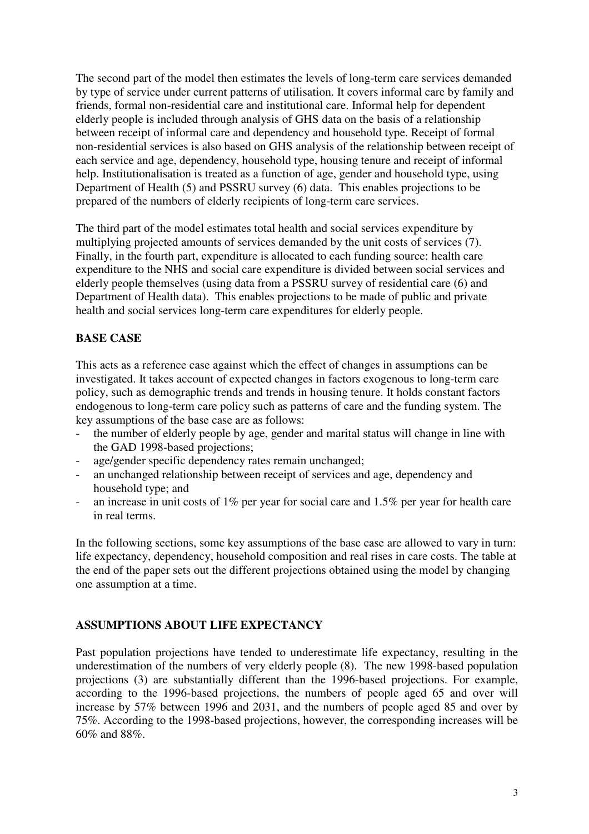The second part of the model then estimates the levels of long-term care services demanded by type of service under current patterns of utilisation. It covers informal care by family and friends, formal non-residential care and institutional care. Informal help for dependent elderly people is included through analysis of GHS data on the basis of a relationship between receipt of informal care and dependency and household type. Receipt of formal non-residential services is also based on GHS analysis of the relationship between receipt of each service and age, dependency, household type, housing tenure and receipt of informal help. Institutionalisation is treated as a function of age, gender and household type, using Department of Health (5) and PSSRU survey (6) data. This enables projections to be prepared of the numbers of elderly recipients of long-term care services.

The third part of the model estimates total health and social services expenditure by multiplying projected amounts of services demanded by the unit costs of services (7). Finally, in the fourth part, expenditure is allocated to each funding source: health care expenditure to the NHS and social care expenditure is divided between social services and elderly people themselves (using data from a PSSRU survey of residential care (6) and Department of Health data). This enables projections to be made of public and private health and social services long-term care expenditures for elderly people.

#### **BASE CASE**

This acts as a reference case against which the effect of changes in assumptions can be investigated. It takes account of expected changes in factors exogenous to long-term care policy, such as demographic trends and trends in housing tenure. It holds constant factors endogenous to long-term care policy such as patterns of care and the funding system. The key assumptions of the base case are as follows:

- the number of elderly people by age, gender and marital status will change in line with the GAD 1998-based projections;
- age/gender specific dependency rates remain unchanged;
- an unchanged relationship between receipt of services and age, dependency and household type; and
- an increase in unit costs of 1% per year for social care and 1.5% per year for health care in real terms.

In the following sections, some key assumptions of the base case are allowed to vary in turn: life expectancy, dependency, household composition and real rises in care costs. The table at the end of the paper sets out the different projections obtained using the model by changing one assumption at a time.

#### **ASSUMPTIONS ABOUT LIFE EXPECTANCY**

Past population projections have tended to underestimate life expectancy, resulting in the underestimation of the numbers of very elderly people (8). The new 1998-based population projections (3) are substantially different than the 1996-based projections. For example, according to the 1996-based projections, the numbers of people aged 65 and over will increase by 57% between 1996 and 2031, and the numbers of people aged 85 and over by 75%. According to the 1998-based projections, however, the corresponding increases will be 60% and 88%.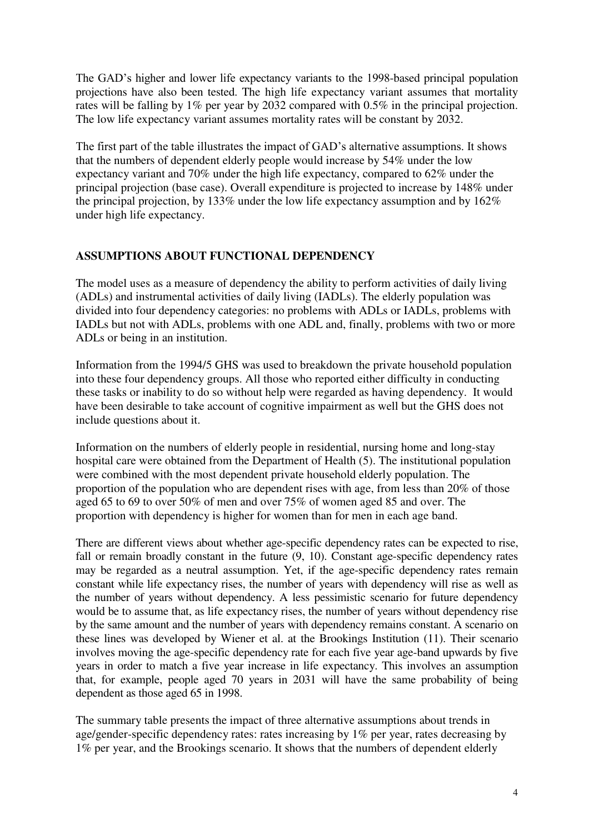The GAD's higher and lower life expectancy variants to the 1998-based principal population projections have also been tested. The high life expectancy variant assumes that mortality rates will be falling by 1% per year by 2032 compared with 0.5% in the principal projection. The low life expectancy variant assumes mortality rates will be constant by 2032.

The first part of the table illustrates the impact of GAD's alternative assumptions. It shows that the numbers of dependent elderly people would increase by 54% under the low expectancy variant and 70% under the high life expectancy, compared to 62% under the principal projection (base case). Overall expenditure is projected to increase by 148% under the principal projection, by 133% under the low life expectancy assumption and by 162% under high life expectancy.

#### **ASSUMPTIONS ABOUT FUNCTIONAL DEPENDENCY**

The model uses as a measure of dependency the ability to perform activities of daily living (ADLs) and instrumental activities of daily living (IADLs). The elderly population was divided into four dependency categories: no problems with ADLs or IADLs, problems with IADLs but not with ADLs, problems with one ADL and, finally, problems with two or more ADLs or being in an institution.

Information from the 1994/5 GHS was used to breakdown the private household population into these four dependency groups. All those who reported either difficulty in conducting these tasks or inability to do so without help were regarded as having dependency. It would have been desirable to take account of cognitive impairment as well but the GHS does not include questions about it.

Information on the numbers of elderly people in residential, nursing home and long-stay hospital care were obtained from the Department of Health (5). The institutional population were combined with the most dependent private household elderly population. The proportion of the population who are dependent rises with age, from less than 20% of those aged 65 to 69 to over 50% of men and over 75% of women aged 85 and over. The proportion with dependency is higher for women than for men in each age band.

There are different views about whether age-specific dependency rates can be expected to rise, fall or remain broadly constant in the future (9, 10). Constant age-specific dependency rates may be regarded as a neutral assumption. Yet, if the age-specific dependency rates remain constant while life expectancy rises, the number of years with dependency will rise as well as the number of years without dependency. A less pessimistic scenario for future dependency would be to assume that, as life expectancy rises, the number of years without dependency rise by the same amount and the number of years with dependency remains constant. A scenario on these lines was developed by Wiener et al. at the Brookings Institution (11). Their scenario involves moving the age-specific dependency rate for each five year age-band upwards by five years in order to match a five year increase in life expectancy. This involves an assumption that, for example, people aged 70 years in 2031 will have the same probability of being dependent as those aged 65 in 1998.

The summary table presents the impact of three alternative assumptions about trends in age/gender-specific dependency rates: rates increasing by 1% per year, rates decreasing by 1% per year, and the Brookings scenario. It shows that the numbers of dependent elderly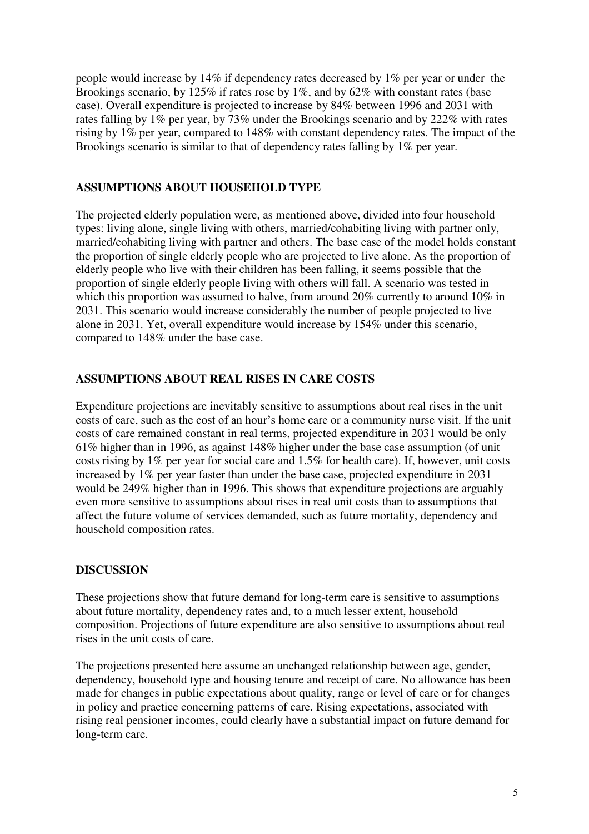people would increase by 14% if dependency rates decreased by 1% per year or under the Brookings scenario, by 125% if rates rose by 1%, and by 62% with constant rates (base case). Overall expenditure is projected to increase by 84% between 1996 and 2031 with rates falling by 1% per year, by 73% under the Brookings scenario and by 222% with rates rising by 1% per year, compared to 148% with constant dependency rates. The impact of the Brookings scenario is similar to that of dependency rates falling by 1% per year.

#### **ASSUMPTIONS ABOUT HOUSEHOLD TYPE**

The projected elderly population were, as mentioned above, divided into four household types: living alone, single living with others, married/cohabiting living with partner only, married/cohabiting living with partner and others. The base case of the model holds constant the proportion of single elderly people who are projected to live alone. As the proportion of elderly people who live with their children has been falling, it seems possible that the proportion of single elderly people living with others will fall. A scenario was tested in which this proportion was assumed to halve, from around 20% currently to around 10% in 2031. This scenario would increase considerably the number of people projected to live alone in 2031. Yet, overall expenditure would increase by 154% under this scenario, compared to 148% under the base case.

#### **ASSUMPTIONS ABOUT REAL RISES IN CARE COSTS**

Expenditure projections are inevitably sensitive to assumptions about real rises in the unit costs of care, such as the cost of an hour's home care or a community nurse visit. If the unit costs of care remained constant in real terms, projected expenditure in 2031 would be only 61% higher than in 1996, as against 148% higher under the base case assumption (of unit costs rising by 1% per year for social care and 1.5% for health care). If, however, unit costs increased by 1% per year faster than under the base case, projected expenditure in 2031 would be 249% higher than in 1996. This shows that expenditure projections are arguably even more sensitive to assumptions about rises in real unit costs than to assumptions that affect the future volume of services demanded, such as future mortality, dependency and household composition rates.

#### **DISCUSSION**

These projections show that future demand for long-term care is sensitive to assumptions about future mortality, dependency rates and, to a much lesser extent, household composition. Projections of future expenditure are also sensitive to assumptions about real rises in the unit costs of care.

The projections presented here assume an unchanged relationship between age, gender, dependency, household type and housing tenure and receipt of care. No allowance has been made for changes in public expectations about quality, range or level of care or for changes in policy and practice concerning patterns of care. Rising expectations, associated with rising real pensioner incomes, could clearly have a substantial impact on future demand for long-term care.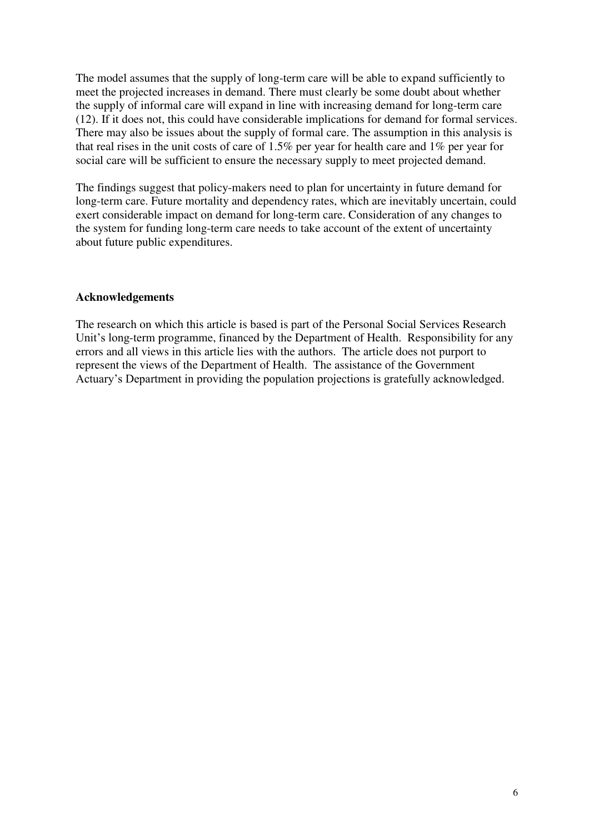The model assumes that the supply of long-term care will be able to expand sufficiently to meet the projected increases in demand. There must clearly be some doubt about whether the supply of informal care will expand in line with increasing demand for long-term care (12). If it does not, this could have considerable implications for demand for formal services. There may also be issues about the supply of formal care. The assumption in this analysis is that real rises in the unit costs of care of 1.5% per year for health care and 1% per year for social care will be sufficient to ensure the necessary supply to meet projected demand.

The findings suggest that policy-makers need to plan for uncertainty in future demand for long-term care. Future mortality and dependency rates, which are inevitably uncertain, could exert considerable impact on demand for long-term care. Consideration of any changes to the system for funding long-term care needs to take account of the extent of uncertainty about future public expenditures.

#### **Acknowledgements**

The research on which this article is based is part of the Personal Social Services Research Unit's long-term programme, financed by the Department of Health. Responsibility for any errors and all views in this article lies with the authors. The article does not purport to represent the views of the Department of Health. The assistance of the Government Actuary's Department in providing the population projections is gratefully acknowledged.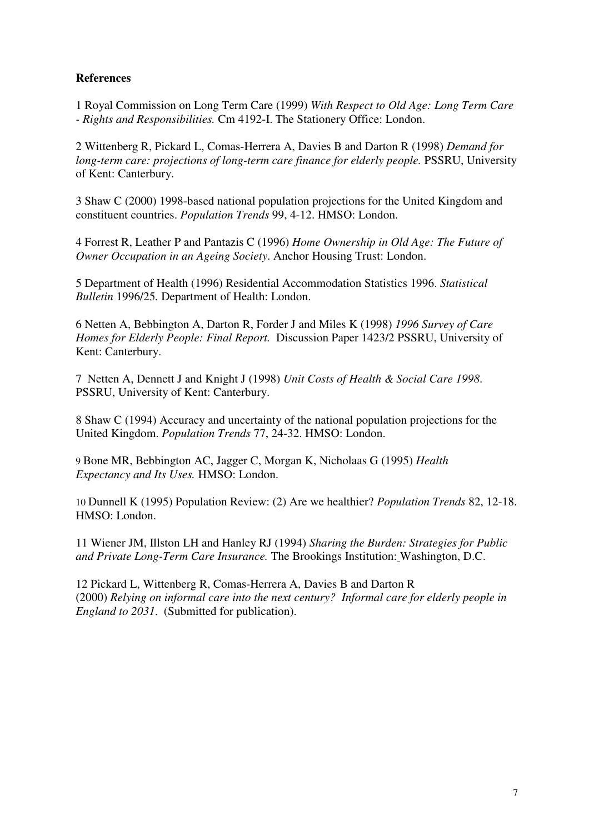#### **References**

1 Royal Commission on Long Term Care (1999) *With Respect to Old Age: Long Term Care - Rights and Responsibilities.* Cm 4192-I. The Stationery Office: London.

2 Wittenberg R, Pickard L, Comas-Herrera A, Davies B and Darton R (1998) *Demand for long-term care: projections of long-term care finance for elderly people.* PSSRU, University of Kent: Canterbury.

3 Shaw C (2000) 1998-based national population projections for the United Kingdom and constituent countries. *Population Trends* 99, 4-12. HMSO: London.

4 Forrest R, Leather P and Pantazis C (1996) *Home Ownership in Old Age: The Future of Owner Occupation in an Ageing Society*. Anchor Housing Trust: London.

5 Department of Health (1996) Residential Accommodation Statistics 1996. *Statistical Bulletin* 1996/25*.* Department of Health: London.

6 Netten A, Bebbington A, Darton R, Forder J and Miles K (1998) *1996 Survey of Care Homes for Elderly People: Final Report.* Discussion Paper 1423/2 PSSRU, University of Kent: Canterbury.

7 Netten A, Dennett J and Knight J (1998) *Unit Costs of Health & Social Care 1998*. PSSRU, University of Kent: Canterbury.

8 Shaw C (1994) Accuracy and uncertainty of the national population projections for the United Kingdom. *Population Trends* 77, 24-32. HMSO: London.

9 Bone MR, Bebbington AC, Jagger C, Morgan K, Nicholaas G (1995) *Health Expectancy and Its Uses.* HMSO: London.

10 Dunnell K (1995) Population Review: (2) Are we healthier? *Population Trends* 82, 12-18. HMSO: London.

11 Wiener JM, Illston LH and Hanley RJ (1994) *Sharing the Burden: Strategies for Public and Private Long-Term Care Insurance.* The Brookings Institution: Washington, D.C.

12 Pickard L, Wittenberg R, Comas-Herrera A, Davies B and Darton R (2000) *Relying on informal care into the next century? Informal care for elderly people in England to 2031*. (Submitted for publication).